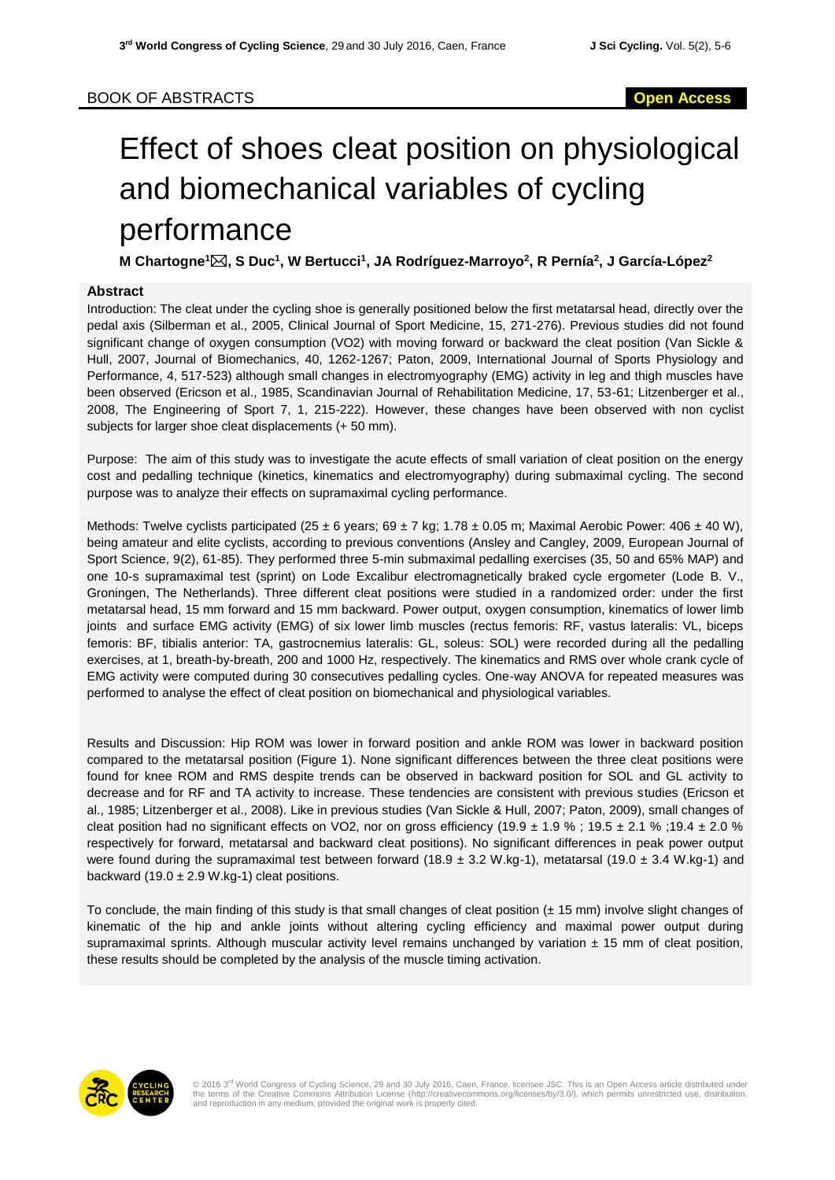## Effect of shoes cleat position on physiological and biomechanical variables of cycling performance

**M Chartogne<sup>1</sup>, S Duc<sup>1</sup> , W Bertucci<sup>1</sup> , JA Rodríguez-Marroyo<sup>2</sup> , R Pernía<sup>2</sup> , J García-López<sup>2</sup>**

## **Abstract**

Introduction: The cleat under the cycling shoe is generally positioned below the first metatarsal head, directly over the pedal axis (Silberman et al., 2005, Clinical Journal of Sport Medicine, 15, 271-276). Previous studies did not found significant change of oxygen consumption (VO2) with moving forward or backward the cleat position (Van Sickle & Hull, 2007, Journal of Biomechanics, 40, 1262-1267; Paton, 2009, International Journal of Sports Physiology and Performance, 4, 517-523) although small changes in electromyography (EMG) activity in leg and thigh muscles have been observed (Ericson et al., 1985, Scandinavian Journal of Rehabilitation Medicine, 17, 53-61; Litzenberger et al., 2008, The Engineering of Sport 7, 1, 215-222). However, these changes have been observed with non cyclist subjects for larger shoe cleat displacements (+ 50 mm).

Purpose: The aim of this study was to investigate the acute effects of small variation of cleat position on the energy cost and pedalling technique (kinetics, kinematics and electromyography) during submaximal cycling. The second purpose was to analyze their effects on supramaximal cycling performance.

Methods: Twelve cyclists participated (25 ± 6 years; 69 ± 7 kg; 1.78 ± 0.05 m; Maximal Aerobic Power: 406 ± 40 W), being amateur and elite cyclists, according to previous conventions (Ansley and Cangley, 2009, European Journal of Sport Science, 9(2), 61-85). They performed three 5-min submaximal pedalling exercises (35, 50 and 65% MAP) and one 10-s supramaximal test (sprint) on Lode Excalibur electromagnetically braked cycle ergometer (Lode B. V., Groningen, The Netherlands). Three different cleat positions were studied in a randomized order: under the first metatarsal head, 15 mm forward and 15 mm backward. Power output, oxygen consumption, kinematics of lower limb joints and surface EMG activity (EMG) of six lower limb muscles (rectus femoris: RF, vastus lateralis: VL, biceps femoris: BF, tibialis anterior: TA, gastrocnemius lateralis: GL, soleus: SOL) were recorded during all the pedalling exercises, at 1, breath-by-breath, 200 and 1000 Hz, respectively. The kinematics and RMS over whole crank cycle of EMG activity were computed during 30 consecutives pedalling cycles. One-way ANOVA for repeated measures was performed to analyse the effect of cleat position on biomechanical and physiological variables.

Results and Discussion: Hip ROM was lower in forward position and ankle ROM was lower in backward position compared to the metatarsal position (Figure 1). None significant differences between the three cleat positions were found for knee ROM and RMS despite trends can be observed in backward position for SOL and GL activity to decrease and for RF and TA activity to increase. These tendencies are consistent with previous studies (Ericson et al., 1985; Litzenberger et al., 2008). Like in previous studies (Van Sickle & Hull, 2007; Paton, 2009), small changes of cleat position had no significant effects on VO2, nor on gross efficiency (19.9  $\pm$  1.9 % ; 19.5  $\pm$  2.1 % ;19.4  $\pm$  2.0 % respectively for forward, metatarsal and backward cleat positions). No significant differences in peak power output were found during the supramaximal test between forward (18.9  $\pm$  3.2 W.kg-1), metatarsal (19.0  $\pm$  3.4 W.kg-1) and backward (19.0  $\pm$  2.9 W.kg-1) cleat positions.

To conclude, the main finding of this study is that small changes of cleat position  $(± 15$  mm) involve slight changes of kinematic of the hip and ankle joints without altering cycling efficiency and maximal power output during supramaximal sprints. Although muscular activity level remains unchanged by variation  $\pm$  15 mm of cleat position, these results should be completed by the analysis of the muscle timing activation.